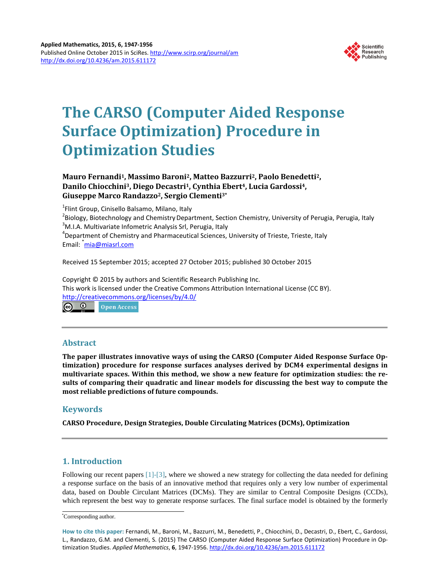

# **The CARSO (Computer Aided Response Surface Optimization) Procedure in Optimization Studies**

## **Mauro Fernandi1, Massimo Baroni2, Matteo Bazzurri2, Paolo Benedetti2, Danilo Chiocchini3, Diego Decastri1, Cynthia Ebert4, Lucia Gardossi4, Giuseppe Marco Randazzo2, Sergio Clementi3\***

<sup>1</sup> Flint Group, Cinisello Balsamo, Milano, Italy<br><sup>2</sup> Biology, Biotechnology and Chemistry Dona

<sup>2</sup>Biology, Biotechnology and Chemistry Department, Section Chemistry, University of Perugia, Perugia, Italy <sup>3</sup>M.I.A. Multivariate Infometric Analysis Srl, Perugia, Italy  $<sup>4</sup>$ Department of Chemistry and Pharmaceutical Sciences, University of Trieste, Trieste, Italy</sup> Email: <sup>\*</sup> mia@miasrl.com

Received 15 September 2015; accepted 27 October 2015; published 30 October 2015

Copyright © 2015 by authors and Scientific Research Publishing Inc. This work is licensed under the Creative Commons Attribution International License (CC BY). http://creativecommons.org/licenses/by/4.0/

**Open Access** 

## **Abstract**

**The paper illustrates innovative ways of using the CARSO (Computer Aided Response Surface Optimization) procedure for response surfaces analyses derived by DCM4 experimental designs in multivariate spaces. Within this method, we show a new feature for optimization studies: the results of comparing their quadratic and linear models for discussing the best way to compute the most reliable predictions of future compounds.**

# **Keywords**

**CARSO Procedure, Design Strategies, Double Circulating Matrices (DCMs), Optimization**

# **1. Introduction**

Following our recent papers [1]-[3], where we showed a new strategy for collecting the data needed for defining a response surface on the basis of an innovative method that requires only a very low number of experimental data, based on Double Circulant Matrices (DCMs). They are similar to Central Composite Designs (CCDs), which represent the best way to generate response surfaces. The final surface model is obtained by the formerly

<sup>\*</sup> Corresponding author.

**How to cite this paper:** Fernandi, M., Baroni, M., Bazzurri, M., Benedetti, P., Chiocchini, D., Decastri, D., Ebert, C., Gardossi, L., Randazzo, G.M. and Clementi, S. (2015) The CARSO (Computer Aided Response Surface Optimization) Procedure in Optimization Studies. *Applied Mathematics*, **6**, 1947-1956. http://dx.doi.org/10.4236/am.2015.611172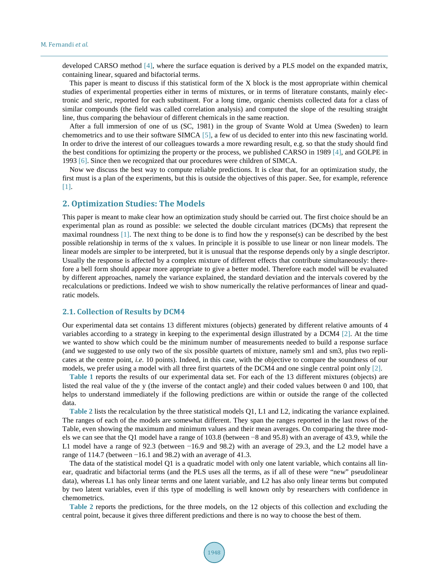developed CARSO method [4], where the surface equation is derived by a PLS model on the expanded matrix, containing linear, squared and bifactorial terms.

This paper is meant to discuss if this statistical form of the X block is the most appropriate within chemical studies of experimental properties either in terms of mixtures, or in terms of literature constants, mainly electronic and steric, reported for each substituent. For a long time, organic chemists collected data for a class of similar compounds (the field was called correlation analysis) and computed the slope of the resulting straight line, thus comparing the behaviour of different chemicals in the same reaction.

After a full immersion of one of us (SC, 1981) in the group of Svante Wold at Umea (Sweden) to learn chemometrics and to use their software SIMCA [5], a few of us decided to enter into this new fascinating world. In order to drive the interest of our colleagues towards a more rewarding result, e.g. so that the study should find the best conditions for optimizing the property or the process, we published CARSO in 1989 [4], and GOLPE in 1993 [6]. Since then we recognized that our procedures were children of SIMCA.

Now we discuss the best way to compute reliable predictions. It is clear that, for an optimization study, the first must is a plan of the experiments, but this is outside the objectives of this paper. See, for example, reference [1].

### **2. Optimization Studies: The Models**

This paper is meant to make clear how an optimization study should be carried out. The first choice should be an experimental plan as round as possible: we selected the double circulant matrices (DCMs) that represent the maximal roundness [1]. The next thing to be done is to find how the y response(s) can be described by the best possible relationship in terms of the x values. In principle it is possible to use linear or non linear models. The linear models are simpler to be interpreted, but it is unusual that the response depends only by a single descriptor. Usually the response is affected by a complex mixture of different effects that contribute simultaneously: therefore a bell form should appear more appropriate to give a better model. Therefore each model will be evaluated by different approaches, namely the variance explained, the standard deviation and the intervals covered by the recalculations or predictions. Indeed we wish to show numerically the relative performances of linear and quadratic models.

#### **2.1. Collection of Results by DCM4**

Our experimental data set contains 13 different mixtures (objects) generated by different relative amounts of 4 variables according to a strategy in keeping to the experimental design illustrated by a DCM4 [2]. At the time we wanted to show which could be the minimum number of measurements needed to build a response surface (and we suggested to use only two of the six possible quartets of mixture, namely sm1 and sm3, plus two replicates at the centre point, *i.e.* 10 points). Indeed, in this case, with the objective to compare the soundness of our models, we prefer using a model with all three first quartets of the DCM4 and one single central point only [2].

**Table 1** reports the results of our experimental data set. For each of the 13 different mixtures (objects) are listed the real value of the y (the inverse of the contact angle) and their coded values between 0 and 100, that helps to understand immediately if the following predictions are within or outside the range of the collected data.

**Table 2** lists the recalculation by the three statistical models Q1, L1 and L2, indicating the variance explained. The ranges of each of the models are somewhat different. They span the ranges reported in the last rows of the Table, even showing the maximum and minimum values and their mean averages. On comparing the three models we can see that the Q1 model have a range of 103.8 (between −8 and 95.8) with an average of 43.9, while the L1 model have a range of 92.3 (between −16.9 and 98.2) with an average of 29.3, and the L2 model have a range of 114.7 (between −16.1 and 98.2) with an average of 41.3.

The data of the statistical model Q1 is a quadratic model with only one latent variable, which contains all linear, quadratic and bifactorial terms (and the PLS uses all the terms, as if all of these were "new" pseudolinear data), whereas L1 has only linear terms and one latent variable, and L2 has also only linear terms but computed by two latent variables, even if this type of modelling is well known only by researchers with confidence in chemometrics.

**Table 2** reports the predictions, for the three models, on the 12 objects of this collection and excluding the central point, because it gives three different predictions and there is no way to choose the best of them.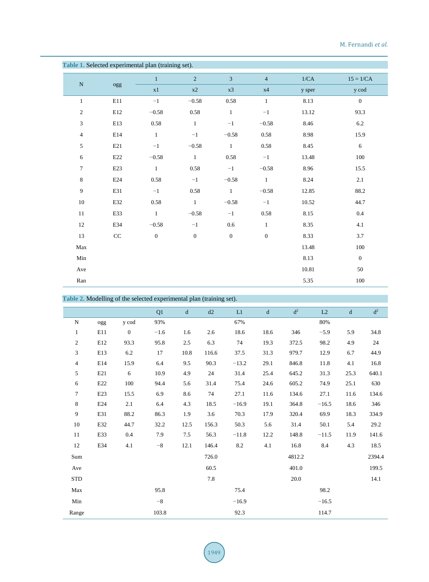## M. Fernandi *et al*.

| Table 1. Selected experimental plan (training set). |           |              |              |                |                |        |                  |
|-----------------------------------------------------|-----------|--------------|--------------|----------------|----------------|--------|------------------|
|                                                     |           | $\mathbf{1}$ | $\sqrt{2}$   | $\overline{3}$ | $\overline{4}$ | 1/CA   | $15 = 1/CA$      |
| $\overline{\bf N}$                                  | ogg       | x1           | $\ge 2$      | $x3$           | x4             | y sper | y cod            |
| $\mathbf{1}$                                        | E11       | $-1$         | $-0.58$      | 0.58           | $\mathbf{1}$   | 8.13   | $\boldsymbol{0}$ |
| $\sqrt{2}$                                          | $\rm E12$ | $-0.58$      | $0.58\,$     | $\mathbf{1}$   | $-1$           | 13.12  | 93.3             |
| 3                                                   | E13       | $0.58\,$     | $\,1\,$      | $-1$           | $-0.58$        | 8.46   | 6.2              |
| $\overline{4}$                                      | E14       | $\mathbf{1}$ | $-1$         | $-0.58$        | $0.58\,$       | 8.98   | 15.9             |
| $\sqrt{5}$                                          | E21       | $-1$         | $-0.58$      | $\mathbf{1}$   | 0.58           | 8.45   | 6                |
| $6\,$                                               | E22       | $-0.58$      | $\mathbf{1}$ | 0.58           | $-1$           | 13.48  | 100              |
| $\tau$                                              | E23       | $\mathbf{1}$ | $0.58\,$     | $-1$           | $-0.58$        | 8.96   | 15.5             |
| $\,8\,$                                             | E24       | 0.58         | $-1$         | $-0.58$        | $\mathbf{1}$   | 8.24   | $2.1\,$          |
| $\overline{9}$                                      | E31       | $-1$         | $0.58\,$     | $\,1$          | $-0.58$        | 12.85  | 88.2             |
| $10\,$                                              | E32       | $0.58\,$     | $\mathbf{1}$ | $-0.58$        | $-1$           | 10.52  | 44.7             |
| 11                                                  | E33       | $\mathbf{1}$ | $-0.58$      | $-1$           | 0.58           | 8.15   | 0.4              |
| $12\,$                                              | E34       | $-0.58$      | $-1$         | 0.6            | $\mathbf{1}$   | 8.35   | 4.1              |
| 13                                                  | CC        | $\mathbf{0}$ | $\mathbf{0}$ | $\mathbf{0}$   | $\mathbf{0}$   | 8.33   | 3.7              |
| Max                                                 |           |              |              |                |                | 13.48  | 100              |
| Min                                                 |           |              |              |                |                | 8.13   | $\mathbf{0}$     |
| Ave                                                 |           |              |              |                |                | 10.81  | 50               |
| $\rm{Ran}$                                          |           |              |              |                |                | 5.35   | $100\,$          |

|                |     | Table 2. Modelling of the selected experimental plan (training set). |        |             |       |         |             |                |         |             |                  |
|----------------|-----|----------------------------------------------------------------------|--------|-------------|-------|---------|-------------|----------------|---------|-------------|------------------|
|                |     |                                                                      | Q1     | $\mathbf d$ | d2    | L1      | $\mathbf d$ | d <sup>2</sup> | L2      | $\mathbf d$ | $\mbox{\bf d}^2$ |
| ${\bf N}$      | ogg | y cod                                                                | 93%    |             |       | 67%     |             |                | 80%     |             |                  |
| $\mathbf{1}$   | E11 | $\boldsymbol{0}$                                                     | $-1.6$ | 1.6         | 2.6   | 18.6    | 18.6        | 346            | $-5.9$  | 5.9         | 34.8             |
| $\sqrt{2}$     | E12 | 93.3                                                                 | 95.8   | 2.5         | 6.3   | 74      | 19.3        | 372.5          | 98.2    | 4.9         | 24               |
| 3              | E13 | 6.2                                                                  | 17     | 10.8        | 116.6 | 37.5    | 31.3        | 979.7          | 12.9    | 6.7         | 44.9             |
| $\overline{4}$ | E14 | 15.9                                                                 | 6.4    | 9.5         | 90.3  | $-13.2$ | 29.1        | 846.8          | 11.8    | 4.1         | 16.8             |
| 5              | E21 | 6                                                                    | 10.9   | 4.9         | 24    | 31.4    | 25.4        | 645.2          | 31.3    | 25.3        | 640.1            |
| 6              | E22 | 100                                                                  | 94.4   | 5.6         | 31.4  | 75.4    | 24.6        | 605.2          | 74.9    | 25.1        | 630              |
| $\overline{7}$ | E23 | 15.5                                                                 | 6.9    | 8.6         | 74    | 27.1    | 11.6        | 134.6          | 27.1    | 11.6        | 134.6            |
| 8              | E24 | 2.1                                                                  | 6.4    | 4.3         | 18.5  | $-16.9$ | 19.1        | 364.8          | $-16.5$ | 18.6        | 346              |
| 9              | E31 | 88.2                                                                 | 86.3   | 1.9         | 3.6   | 70.3    | 17.9        | 320.4          | 69.9    | 18.3        | 334.9            |
| 10             | E32 | 44.7                                                                 | 32.2   | 12.5        | 156.3 | 50.3    | 5.6         | 31.4           | 50.1    | 5.4         | 29.2             |
| 11             | E33 | 0.4                                                                  | 7.9    | 7.5         | 56.3  | $-11.8$ | 12.2        | 148.8          | $-11.5$ | 11.9        | 141.6            |
| 12             | E34 | 4.1                                                                  | $-8$   | 12.1        | 146.4 | 8.2     | 4.1         | 16.8           | 8.4     | 4.3         | 18.5             |
| Sum            |     |                                                                      |        |             | 726.0 |         |             | 4812.2         |         |             | 2394.4           |
| Ave            |     |                                                                      |        |             | 60.5  |         |             | 401.0          |         |             | 199.5            |
| <b>STD</b>     |     |                                                                      |        |             | 7.8   |         |             | $20.0\,$       |         |             | 14.1             |
| Max            |     |                                                                      | 95.8   |             |       | 75.4    |             |                | 98.2    |             |                  |
| Min            |     |                                                                      | $-8$   |             |       | $-16.9$ |             |                | $-16.5$ |             |                  |
| Range          |     |                                                                      | 103.8  |             |       | 92.3    |             |                | 114.7   |             |                  |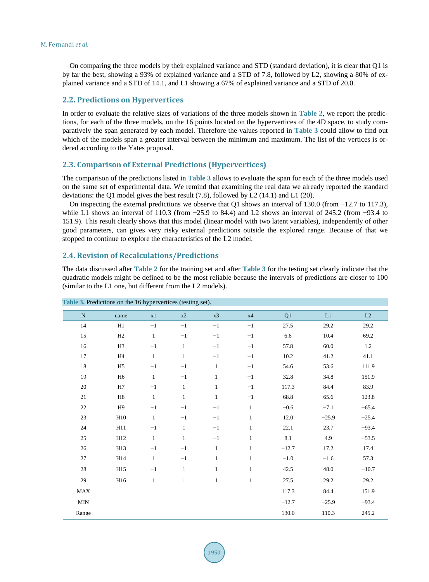On comparing the three models by their explained variance and STD (standard deviation), it is clear that Q1 is by far the best, showing a 93% of explained variance and a STD of 7.8, followed by L2, showing a 80% of explained variance and a STD of 14.1, and L1 showing a 67% of explained variance and a STD of 20.0.

## **2.2. Predictions on Hypervertices**

In order to evaluate the relative sizes of variations of the three models shown in **Table 2**, we report the predictions, for each of the three models, on the 16 points located on the hypervertices of the 4D space, to study comparatively the span generated by each model. Therefore the values reported in **Table 3** could allow to find out which of the models span a greater interval between the minimum and maximum. The list of the vertices is ordered according to the Yates proposal.

## **2.3. Comparison of External Predictions (Hypervertices)**

The comparison of the predictions listed in **Table 3** allows to evaluate the span for each of the three models used on the same set of experimental data. We remind that examining the real data we already reported the standard deviations: the Q1 model gives the best result (7.8), followed by L2 (14.1) and L1 (20).

On inspecting the external predictions we observe that Q1 shows an interval of 130.0 (from −12.7 to 117.3), while L1 shows an interval of 110.3 (from −25.9 to 84.4) and L2 shows an interval of 245.2 (from −93.4 to 151.9). This result clearly shows that this model (linear model with two latent variables), independently of other good parameters, can gives very risky external predictions outside the explored range. Because of that we stopped to continue to explore the characteristics of the L2 model.

### **2.4. Revision of Recalculations/Predictions**

The data discussed after **Table 2** for the training set and after **Table 3** for the testing set clearly indicate that the quadratic models might be defined to be the most reliable because the intervals of predictions are closer to 100 (similar to the L1 one, but different from the L2 models).

|           | $arctions$ on the 10 hypervertices (results see). |              |              |              |              |         |         |         |
|-----------|---------------------------------------------------|--------------|--------------|--------------|--------------|---------|---------|---------|
| ${\bf N}$ | name                                              | x1           | x2           | x3           | x4           | Q1      | L1      | L2      |
| 14        | H1                                                | $-1$         | $-1$         | $-1$         | $-1$         | 27.5    | 29.2    | 29.2    |
| 15        | H2                                                | $\mathbf{1}$ | $-1$         | $-1$         | $-1$         | 6.6     | 10.4    | 69.2    |
| 16        | H <sub>3</sub>                                    | $-1$         | $\mathbf{1}$ | $-1$         | $-1$         | 57.8    | 60.0    | 1.2     |
| $17\,$    | H <sub>4</sub>                                    | $\mathbf{1}$ | $\mathbf{1}$ | $-1$         | $-1$         | 10.2    | 41.2    | 41.1    |
| $18\,$    | H <sub>5</sub>                                    | $-1$         | $-1$         | $\mathbf{1}$ | $-1$         | 54.6    | 53.6    | 111.9   |
| 19        | H <sub>6</sub>                                    | $\mathbf{1}$ | $-1$         | $\mathbf{1}$ | $-1$         | 32.8    | 34.8    | 151.9   |
| 20        | H7                                                | $-1$         | $\mathbf{1}$ | $\mathbf{1}$ | $-1$         | 117.3   | 84.4    | 83.9    |
| 21        | H <sub>8</sub>                                    | $\mathbf{1}$ | $\mathbf{1}$ | $\mathbf{1}$ | $-1$         | 68.8    | 65.6    | 123.8   |
| 22        | H <sub>9</sub>                                    | $-1$         | $-1$         | $-1$         | $\mathbf{1}$ | $-0.6$  | $-7.1$  | $-65.4$ |
| 23        | H10                                               | $\mathbf{1}$ | $-1$         | $-1$         | $\mathbf{1}$ | 12.0    | $-25.9$ | $-25.4$ |
| 24        | H11                                               | $-1$         | $\mathbf{1}$ | $-1$         | $\mathbf{1}$ | 22.1    | 23.7    | $-93.4$ |
| 25        | H12                                               | $\,1\,$      | $\mathbf{1}$ | $-1$         | $\mathbf{1}$ | 8.1     | 4.9     | $-53.5$ |
| 26        | H13                                               | $-1$         | $-1$         | $\mathbf{1}$ | $\mathbf{1}$ | $-12.7$ | 17.2    | 17.4    |
| $27\,$    | H14                                               | $\,1\,$      | $-1$         | $\mathbf{1}$ | $\mathbf{1}$ | $-1.0$  | $-1.6$  | 57.3    |
| $28\,$    | H15                                               | $-1$         | $\mathbf{1}$ | $\mathbf{1}$ | $\mathbf{1}$ | 42.5    | 48.0    | $-10.7$ |
| 29        | H16                                               | $\mathbf{1}$ | $\mathbf{1}$ | $\mathbf{1}$ | $\mathbf{1}$ | 27.5    | 29.2    | 29.2    |
| MAX       |                                                   |              |              |              |              | 117.3   | 84.4    | 151.9   |
| MIN       |                                                   |              |              |              |              | $-12.7$ | $-25.9$ | $-93.4$ |
| Range     |                                                   |              |              |              |              | 130.0   | 110.3   | 245.2   |

## **Table 3.** Predictions on the 16 hypervertices (testing set).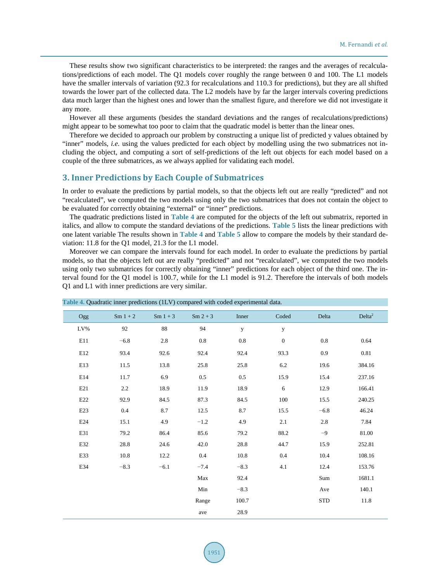These results show two significant characteristics to be interpreted: the ranges and the averages of recalculations/predictions of each model. The Q1 models cover roughly the range between 0 and 100. The L1 models have the smaller intervals of variation (92.3 for recalculations and 110.3 for predictions), but they are all shifted towards the lower part of the collected data. The L2 models have by far the larger intervals covering predictions data much larger than the highest ones and lower than the smallest figure, and therefore we did not investigate it any more.

However all these arguments (besides the standard deviations and the ranges of recalculations/predictions) might appear to be somewhat too poor to claim that the quadratic model is better than the linear ones.

Therefore we decided to approach our problem by constructing a unique list of predicted y values obtained by "inner" models, *i.e.* using the values predicted for each object by modelling using the two submatrices not including the object, and computing a sort of self-predictions of the left out objects for each model based on a couple of the three submatrices, as we always applied for validating each model.

## **3. Inner Predictions by Each Couple of Submatrices**

In order to evaluate the predictions by partial models, so that the objects left out are really "predicted" and not "recalculated", we computed the two models using only the two submatrices that does not contain the object to be evaluated for correctly obtaining "external" or "inner" predictions.

The quadratic predictions listed in **Table 4** are computed for the objects of the left out submatrix, reported in italics, and allow to compute the standard deviations of the predictions. **Table 5** lists the linear predictions with one latent variable The results shown in **Table 4** and **Table 5** allow to compare the models by their standard deviation: 11.8 for the Q1 model, 21.3 for the L1 model.

Moreover we can compare the intervals found for each model. In order to evaluate the predictions by partial models, so that the objects left out are really "predicted" and not "recalculated", we computed the two models using only two submatrices for correctly obtaining "inner" predictions for each object of the third one. The interval found for the Q1 model is 100.7, while for the L1 model is 91.2. Therefore the intervals of both models Q1 and L1 with inner predictions are very similar.

|     | i able 4. Quadratic inner predictions (ILV) compared with coded experimental data. |            |            |        |                  |            |                    |
|-----|------------------------------------------------------------------------------------|------------|------------|--------|------------------|------------|--------------------|
| Ogg | $Sm 1 + 2$                                                                         | $Sm 1 + 3$ | $Sm 2 + 3$ | Inner  | Coded            | Delta      | Delta <sup>2</sup> |
| LV% | 92                                                                                 | 88         | 94         | y      | y                |            |                    |
| E11 | $-6.8$                                                                             | 2.8        | $0.8\,$    | 0.8    | $\boldsymbol{0}$ | 0.8        | 0.64               |
| E12 | 93.4                                                                               | 92.6       | 92.4       | 92.4   | 93.3             | 0.9        | 0.81               |
| E13 | 11.5                                                                               | 13.8       | 25.8       | 25.8   | 6.2              | 19.6       | 384.16             |
| E14 | 11.7                                                                               | 6.9        | 0.5        | 0.5    | 15.9             | 15.4       | 237.16             |
| E21 | 2.2                                                                                | 18.9       | 11.9       | 18.9   | 6                | 12.9       | 166.41             |
| E22 | 92.9                                                                               | 84.5       | 87.3       | 84.5   | 100              | 15.5       | 240.25             |
| E23 | 0.4                                                                                | 8.7        | 12.5       | 8.7    | 15.5             | $-6.8$     | 46.24              |
| E24 | 15.1                                                                               | 4.9        | $-1.2$     | 4.9    | 2.1              | 2.8        | 7.84               |
| E31 | 79.2                                                                               | 86.4       | 85.6       | 79.2   | 88.2             | $-9$       | 81.00              |
| E32 | 28.8                                                                               | 24.6       | 42.0       | 28.8   | 44.7             | 15.9       | 252.81             |
| E33 | 10.8                                                                               | 12.2       | 0.4        | 10.8   | 0.4              | 10.4       | 108.16             |
| E34 | $-8.3$                                                                             | $-6.1$     | $-7.4$     | $-8.3$ | 4.1              | 12.4       | 153.76             |
|     |                                                                                    |            | Max        | 92.4   |                  | Sum        | 1681.1             |
|     |                                                                                    |            | Min        | $-8.3$ |                  | Ave        | 140.1              |
|     |                                                                                    |            | Range      | 100.7  |                  | <b>STD</b> | 11.8               |
|     |                                                                                    |            | ave        | 28.9   |                  |            |                    |

**Table 4.** Quadratic inner predictions (1LV) compared with coded experimental data.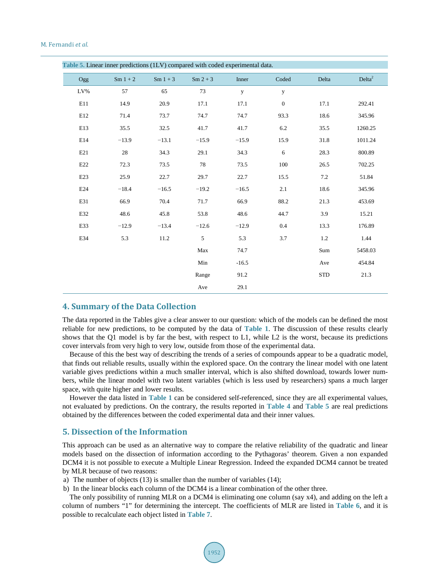| Table 5. Linear inner predictions (1LV) compared with coded experimental data. |            |            |            |              |              |            |                    |  |  |
|--------------------------------------------------------------------------------|------------|------------|------------|--------------|--------------|------------|--------------------|--|--|
| Ogg                                                                            | $Sm 1 + 2$ | $Sm 1 + 3$ | $Sm 2 + 3$ | Inner        | Coded        | Delta      | Delta <sup>2</sup> |  |  |
| LV%                                                                            | 57         | 65         | 73         | $\mathbf{y}$ | $\mathbf{y}$ |            |                    |  |  |
| E11                                                                            | 14.9       | 20.9       | 17.1       | 17.1         | $\mathbf{0}$ | 17.1       | 292.41             |  |  |
| E12                                                                            | 71.4       | 73.7       | 74.7       | 74.7         | 93.3         | 18.6       | 345.96             |  |  |
| E13                                                                            | 35.5       | 32.5       | 41.7       | 41.7         | $6.2\,$      | 35.5       | 1260.25            |  |  |
| E14                                                                            | $-13.9$    | $-13.1$    | $-15.9$    | $-15.9$      | 15.9         | 31.8       | 1011.24            |  |  |
| E21                                                                            | 28         | 34.3       | 29.1       | 34.3         | 6            | 28.3       | 800.89             |  |  |
| $\mathbf{E}22$                                                                 | 72.3       | 73.5       | 78         | 73.5         | 100          | 26.5       | 702.25             |  |  |
| E23                                                                            | 25.9       | 22.7       | 29.7       | 22.7         | 15.5         | $7.2\,$    | 51.84              |  |  |
| E24                                                                            | $-18.4$    | $-16.5$    | $-19.2$    | $-16.5$      | 2.1          | 18.6       | 345.96             |  |  |
| E31                                                                            | 66.9       | 70.4       | 71.7       | 66.9         | 88.2         | 21.3       | 453.69             |  |  |
| E32                                                                            | 48.6       | 45.8       | 53.8       | 48.6         | 44.7         | 3.9        | 15.21              |  |  |
| E33                                                                            | $-12.9$    | $-13.4$    | $-12.6$    | $-12.9$      | 0.4          | 13.3       | 176.89             |  |  |
| E34                                                                            | 5.3        | 11.2       | 5          | 5.3          | 3.7          | 1.2        | 1.44               |  |  |
|                                                                                |            |            | Max        | 74.7         |              | Sum        | 5458.03            |  |  |
|                                                                                |            |            | Min        | $-16.5$      |              | Ave        | 454.84             |  |  |
|                                                                                |            |            | Range      | 91.2         |              | <b>STD</b> | 21.3               |  |  |
|                                                                                |            |            | Ave        | 29.1         |              |            |                    |  |  |

## **4. Summary of the Data Collection**

The data reported in the Tables give a clear answer to our question: which of the models can be defined the most reliable for new predictions, to be computed by the data of **Table 1**. The discussion of these results clearly shows that the Q1 model is by far the best, with respect to L1, while L2 is the worst, because its predictions cover intervals from very high to very low, outside from those of the experimental data.

Because of this the best way of describing the trends of a series of compounds appear to be a quadratic model, that finds out reliable results, usually within the explored space. On the contrary the linear model with one latent variable gives predictions within a much smaller interval, which is also shifted download, towards lower numbers, while the linear model with two latent variables (which is less used by researchers) spans a much larger space, with quite higher and lower results.

However the data listed in **Table 1** can be considered self-referenced, since they are all experimental values, not evaluated by predictions. On the contrary, the results reported in **Table 4** and **Table 5** are real predictions obtained by the differences between the coded experimental data and their inner values.

## **5. Dissection of the Information**

This approach can be used as an alternative way to compare the relative reliability of the quadratic and linear models based on the dissection of information according to the Pythagoras' theorem. Given a non expanded DCM4 it is not possible to execute a Multiple Linear Regression. Indeed the expanded DCM4 cannot be treated by MLR because of two reasons:

- a) The number of objects (13) is smaller than the number of variables (14);
- b) In the linear blocks each column of the DCM4 is a linear combination of the other three.

The only possibility of running MLR on a DCM4 is eliminating one column (say x4), and adding on the left a column of numbers "1" for determining the intercept. The coefficients of MLR are listed in **Table 6**, and it is possible to recalculate each object listed in **Table 7**.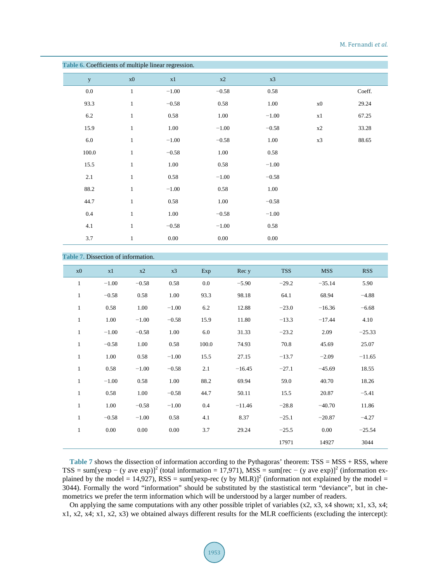| Table 6. Coefficients of multiple linear regression. |               |          |          |          |         |        |  |  |
|------------------------------------------------------|---------------|----------|----------|----------|---------|--------|--|--|
| y                                                    | $\mathbf{x}0$ | x1       | $\ge 2$  | x3       |         |        |  |  |
| $0.0\,$                                              | $\mathbf{1}$  | $-1.00$  | $-0.58$  | 0.58     |         | Coeff. |  |  |
| 93.3                                                 | $\mathbf{1}$  | $-0.58$  | 0.58     | 1.00     | x0      | 29.24  |  |  |
| 6.2                                                  | $\mathbf{1}$  | $0.58\,$ | 1.00     | $-1.00$  | $\ge 1$ | 67.25  |  |  |
| 15.9                                                 | $\mathbf{1}$  | 1.00     | $-1.00$  | $-0.58$  | x2      | 33.28  |  |  |
| $6.0\,$                                              | $\mathbf{1}$  | $-1.00$  | $-0.58$  | 1.00     | x3      | 88.65  |  |  |
| 100.0                                                | $\mathbf{1}$  | $-0.58$  | 1.00     | 0.58     |         |        |  |  |
| 15.5                                                 | $\mathbf{1}$  | 1.00     | $0.58\,$ | $-1.00$  |         |        |  |  |
| 2.1                                                  | $\mathbf{1}$  | $0.58\,$ | $-1.00$  | $-0.58$  |         |        |  |  |
| 88.2                                                 | $\mathbf{1}$  | $-1.00$  | $0.58\,$ | $1.00\,$ |         |        |  |  |
| 44.7                                                 | $\mathbf{1}$  | $0.58\,$ | 1.00     | $-0.58$  |         |        |  |  |
| 0.4                                                  | $\mathbf{1}$  | 1.00     | $-0.58$  | $-1.00$  |         |        |  |  |
| 4.1                                                  | $\mathbf{1}$  | $-0.58$  | $-1.00$  | 0.58     |         |        |  |  |
| 3.7                                                  | $\mathbf{1}$  | 0.00     | 0.00     | $0.00\,$ |         |        |  |  |

## **Table 7.** Dissection of information.

| x0           | x1      | x2      | x3       | Exp   | Rec y    | <b>TSS</b> | <b>MSS</b> | <b>RSS</b> |
|--------------|---------|---------|----------|-------|----------|------------|------------|------------|
| $\mathbf{1}$ | $-1.00$ | $-0.58$ | 0.58     | 0.0   | $-5.90$  | $-29.2$    | $-35.14$   | 5.90       |
| $\mathbf{1}$ | $-0.58$ | 0.58    | 1.00     | 93.3  | 98.18    | 64.1       | 68.94      | $-4.88$    |
| $\mathbf{1}$ | 0.58    | 1.00    | $-1.00$  | 6.2   | 12.88    | $-23.0$    | $-16.36$   | $-6.68$    |
| $\mathbf{1}$ | 1.00    | $-1.00$ | $-0.58$  | 15.9  | 11.80    | $-13.3$    | $-17.44$   | 4.10       |
| $\mathbf{1}$ | $-1.00$ | $-0.58$ | 1.00     | 6.0   | 31.33    | $-23.2$    | 2.09       | $-25.33$   |
| $\mathbf{1}$ | $-0.58$ | 1.00    | 0.58     | 100.0 | 74.93    | 70.8       | 45.69      | 25.07      |
| $\mathbf{1}$ | 1.00    | 0.58    | $-1.00$  | 15.5  | 27.15    | $-13.7$    | $-2.09$    | $-11.65$   |
| $\mathbf{1}$ | 0.58    | $-1.00$ | $-0.58$  | 2.1   | $-16.45$ | $-27.1$    | $-45.69$   | 18.55      |
| $\mathbf{1}$ | $-1.00$ | 0.58    | 1.00     | 88.2  | 69.94    | 59.0       | 40.70      | 18.26      |
| $\mathbf{1}$ | 0.58    | 1.00    | $-0.58$  | 44.7  | 50.11    | 15.5       | 20.87      | $-5.41$    |
| $\mathbf{1}$ | 1.00    | $-0.58$ | $-1.00$  | 0.4   | $-11.46$ | $-28.8$    | $-40.70$   | 11.86      |
| $\mathbf{1}$ | $-0.58$ | $-1.00$ | 0.58     | 4.1   | 8.37     | $-25.1$    | $-20.87$   | $-4.27$    |
| $\mathbf{1}$ | 0.00    | 0.00    | $0.00\,$ | 3.7   | 29.24    | $-25.5$    | 0.00       | $-25.54$   |
|              |         |         |          |       |          | 17971      | 14927      | 3044       |
|              |         |         |          |       |          |            |            |            |

Table 7 shows the dissection of information according to the Pythagoras' theorem: TSS = MSS + RSS, where TSS = sum[yexp – (y ave exp)]<sup>2</sup> (total information = 17,971), MSS = sum[rec – (y ave exp)]<sup>2</sup> (information explained by the model = 14,927), RSS = sum[yexp-rec (y by MLR)]<sup>2</sup> (information not explained by the model = 3044). Formally the word "information" should be substituted by the stastistical term "deviance", but in chemometrics we prefer the term information which will be understood by a larger number of readers.

On applying the same computations with any other possible triplet of variables (x2, x3, x4 shown; x1, x3, x4; x1, x2, x4; x1, x2, x3) we obtained always different results for the MLR coefficients (excluding the intercept):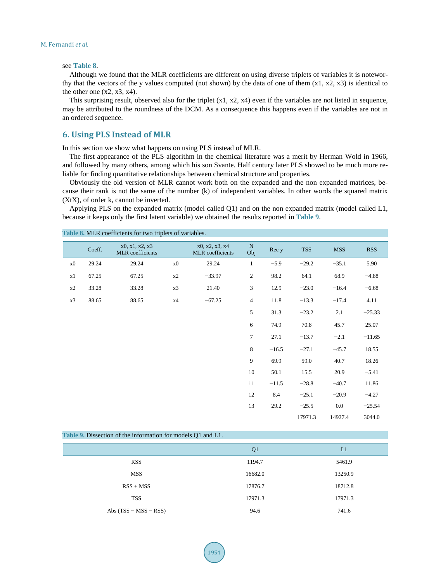#### see **Table 8**.

Although we found that the MLR coefficients are different on using diverse triplets of variables it is noteworthy that the vectors of the y values computed (not shown) by the data of one of them  $(x1, x2, x3)$  is identical to the other one  $(x2, x3, x4)$ .

This surprising result, observed also for the triplet  $(x1, x2, x4)$  even if the variables are not listed in sequence, may be attributed to the roundness of the DCM. As a consequence this happens even if the variables are not in an ordered sequence.

## **6. Using PLS Instead of MLR**

**Table 8.** MLR coefficients for two triplets of variables.

In this section we show what happens on using PLS instead of MLR.

The first appearance of the PLS algorithm in the chemical literature was a merit by Herman Wold in 1966, and followed by many others, among which his son Svante. Half century later PLS showed to be much more reliable for finding quantitative relationships between chemical structure and properties.

Obviously the old version of MLR cannot work both on the expanded and the non expanded matrices, because their rank is not the same of the number (k) of independent variables. In other words the squared matrix (XtX), of order k, cannot be inverted.

Applying PLS on the expanded matrix (model called Q1) and on the non expanded matrix (model called L1, because it keeps only the first latent variable) we obtained the results reported in **Table 9**.

|    | Coeff. | x0, x1, x2, x3<br>MLR coefficients |               | x0, x2, x3, x4<br>MLR coefficients | ${\bf N}$<br>Obj | Rec y   | <b>TSS</b> | <b>MSS</b> | <b>RSS</b> |
|----|--------|------------------------------------|---------------|------------------------------------|------------------|---------|------------|------------|------------|
| x0 | 29.24  | 29.24                              | $\mathbf{x}0$ | 29.24                              | $\mathbf{1}$     | $-5.9$  | $-29.2$    | $-35.1$    | 5.90       |
| x1 | 67.25  | 67.25                              | x2            | $-33.97$                           | $\sqrt{2}$       | 98.2    | 64.1       | 68.9       | $-4.88$    |
| x2 | 33.28  | 33.28                              | x3            | 21.40                              | 3                | 12.9    | $-23.0$    | $-16.4$    | $-6.68$    |
| x3 | 88.65  | 88.65                              | x4            | $-67.25$                           | $\overline{4}$   | 11.8    | $-13.3$    | $-17.4$    | 4.11       |
|    |        |                                    |               |                                    | 5                | 31.3    | $-23.2$    | 2.1        | $-25.33$   |
|    |        |                                    |               |                                    | 6                | 74.9    | 70.8       | 45.7       | 25.07      |
|    |        |                                    |               |                                    | $\tau$           | 27.1    | $-13.7$    | $-2.1$     | $-11.65$   |
|    |        |                                    |               |                                    | 8                | $-16.5$ | $-27.1$    | $-45.7$    | 18.55      |
|    |        |                                    |               |                                    | $\overline{9}$   | 69.9    | 59.0       | 40.7       | 18.26      |
|    |        |                                    |               |                                    | 10               | 50.1    | 15.5       | 20.9       | $-5.41$    |
|    |        |                                    |               |                                    | 11               | $-11.5$ | $-28.8$    | $-40.7$    | 11.86      |
|    |        |                                    |               |                                    | 12               | 8.4     | $-25.1$    | $-20.9$    | $-4.27$    |
|    |        |                                    |               |                                    | 13               | 29.2    | $-25.5$    | 0.0        | $-25.54$   |
|    |        |                                    |               |                                    |                  |         | 17971.3    | 14927.4    | 3044.0     |

| Table 9. Dissection of the information for models Q1 and L1. |                |         |  |  |  |  |  |  |
|--------------------------------------------------------------|----------------|---------|--|--|--|--|--|--|
|                                                              | Q <sub>1</sub> | L1      |  |  |  |  |  |  |
| <b>RSS</b>                                                   | 1194.7         | 5461.9  |  |  |  |  |  |  |
| <b>MSS</b>                                                   | 16682.0        | 13250.9 |  |  |  |  |  |  |
| $RSS + MSS$                                                  | 17876.7        | 18712.8 |  |  |  |  |  |  |
| <b>TSS</b>                                                   | 17971.3        | 17971.3 |  |  |  |  |  |  |
| Abs $(TSS - MSS - RSS)$                                      | 94.6           | 741.6   |  |  |  |  |  |  |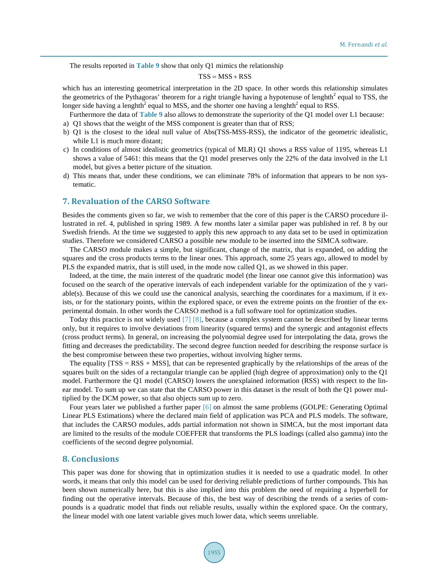The results reported in **Table 9** show that only Q1 mimics the relationship

## $TSS = MSS + RSS$

which has an interesting geometrical interpretation in the 2D space. In other words this relationship simulates the geometrics of the Pythagoras' theorem for a right triangle having a hypotenuse of lenghth<sup>2</sup> equal to TSS, the longer side having a lenghth<sup>2</sup> equal to MSS, and the shorter one having a lenghth<sup>2</sup> equal to RSS.

- Furthermore the data of **Table 9** also allows to demonstrate the superiority of the Q1 model over L1 because:
- a) Q1 shows that the weight of the MSS component is greater than that of RSS;
- b) Q1 is the closest to the ideal null value of Abs(TSS-MSS-RSS), the indicator of the geometric idealistic, while L1 is much more distant;
- c) In conditions of almost idealistic geometrics (typical of MLR) Q1 shows a RSS value of 1195, whereas L1 shows a value of 5461: this means that the Q1 model preserves only the 22% of the data involved in the L1 model, but gives a better picture of the situation.
- d) This means that, under these conditions, we can eliminate 78% of information that appears to be non systematic.

## **7. Revaluation of the CARSO Software**

Besides the comments given so far, we wish to remember that the core of this paper is the CARSO procedure illustrated in ref. 4, published in spring 1989. A few months later a similar paper was published in ref. 8 by our Swedish friends. At the time we suggested to apply this new approach to any data set to be used in optimization studies. Therefore we considered CARSO a possible new module to be inserted into the SIMCA software.

The CARSO module makes a simple, but significant, change of the matrix, that is expanded, on adding the squares and the cross products terms to the linear ones. This approach, some 25 years ago, allowed to model by PLS the expanded matrix, that is still used, in the mode now called Q1, as we showed in this paper.

Indeed, at the time, the main interest of the quadratic model (the linear one cannot give this information) was focused on the search of the operative intervals of each independent variable for the optimization of the y variable(s). Because of this we could use the canonical analysis, searching the coordinates for a maximum, if it exists, or for the stationary points, within the explored space, or even the extreme points on the frontier of the experimental domain. In other words the CARSO method is a full software tool for optimization studies.

Today this practice is not widely used [7] [8], because a complex system cannot be described by linear terms only, but it requires to involve deviations from linearity (squared terms) and the synergic and antagonist effects (cross product terms). In general, on increasing the polynomial degree used for interpolating the data, grows the fitting and decreases the predictability. The second degree function needed for describing the response surface is the best compromise between these two properties, without involving higher terms.

The equality  $[TSS = RSS + MSS$ , that can be represented graphically by the relationships of the areas of the squares built on the sides of a rectangular triangle can be applied (high degree of approximation) only to the Q1 model. Furthermore the Q1 model (CARSO) lowers the unexplained information (RSS) with respect to the linear model. To sum up we can state that the CARSO power in this dataset is the result of both the Q1 power multiplied by the DCM power, so that also objects sum up to zero.

Four years later we published a further paper [6] on almost the same problems (GOLPE: Generating Optimal Linear PLS Estimations) where the declared main field of application was PCA and PLS models. The software, that includes the CARSO modules, adds partial information not shown in SIMCA, but the most important data are limited to the results of the module COEFFER that transforms the PLS loadings (called also gamma) into the coefficients of the second degree polynomial.

#### **8. Conclusions**

This paper was done for showing that in optimization studies it is needed to use a quadratic model. In other words, it means that only this model can be used for deriving reliable predictions of further compounds. This has been shown numerically here, but this is also implied into this problem the need of requiring a hyperbell for finding out the operative intervals. Because of this, the best way of describing the trends of a series of compounds is a quadratic model that finds out reliable results, usually within the explored space. On the contrary, the linear model with one latent variable gives much lower data, which seems unreliable.